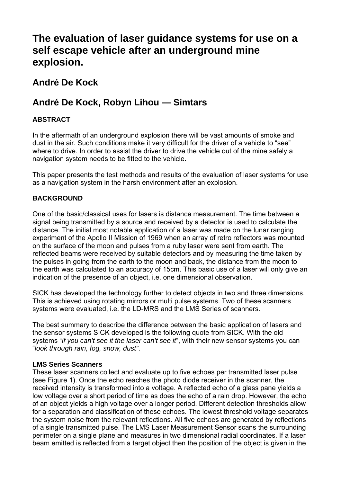# **The evaluation of laser guidance systems for use on a self escape vehicle after an underground mine explosion.**

# **André De Kock**

# **André De Kock, Robyn Lihou — Simtars**

# **ABSTRACT**

In the aftermath of an underground explosion there will be vast amounts of smoke and dust in the air. Such conditions make it very difficult for the driver of a vehicle to "see" where to drive. In order to assist the driver to drive the vehicle out of the mine safely a navigation system needs to be fitted to the vehicle.

This paper presents the test methods and results of the evaluation of laser systems for use as a navigation system in the harsh environment after an explosion.

# **BACKGROUND**

One of the basic/classical uses for lasers is distance measurement. The time between a signal being transmitted by a source and received by a detector is used to calculate the distance. The initial most notable application of a laser was made on the lunar ranging experiment of the Apollo ІІ Mission of 1969 when an array of retro reflectors was mounted on the surface of the moon and pulses from a ruby laser were sent from earth. The reflected beams were received by suitable detectors and by measuring the time taken by the pulses in going from the earth to the moon and back, the distance from the moon to the earth was calculated to an accuracy of 15cm. This basic use of a laser will only give an indication of the presence of an object, i.e. one dimensional observation.

SICK has developed the technology further to detect objects in two and three dimensions. This is achieved using rotating mirrors or multi pulse systems. Two of these scanners systems were evaluated, i.e. the LD-MRS and the LMS Series of scanners.

The best summary to describe the difference between the basic application of lasers and the sensor systems SICK developed is the following quote from SICK. With the old systems "*if you can't see it the laser can't see it*", with their new sensor systems you can "*look through rain, fog, snow, dust"*.

## **LMS Series Scanners**

These laser scanners collect and evaluate up to five echoes per transmitted laser pulse (see [Figure 1](#page-1-0)). Once the echo reaches the photo diode receiver in the scanner, the received intensity is transformed into a voltage. A reflected echo of a glass pane yields a low voltage over a short period of time as does the echo of a rain drop. However, the echo of an object yields a high voltage over a longer period. Different detection thresholds allow for a separation and classification of these echoes. The lowest threshold voltage separates the system noise from the relevant reflections. All five echoes are generated by reflections of a single transmitted pulse. The LMS Laser Measurement Sensor scans the surrounding perimeter on a single plane and measures in two dimensional radial coordinates. If a laser beam emitted is reflected from a target object then the position of the object is given in the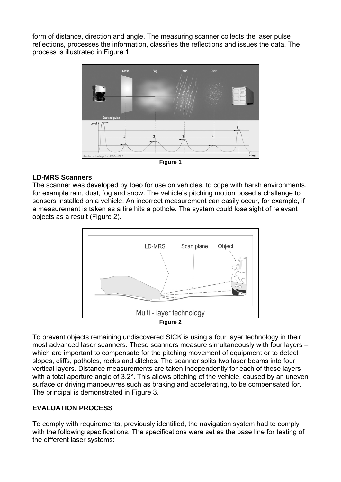form of distance, direction and angle. The measuring scanner collects the laser pulse reflections, processes the information, classifies the reflections and issues the data. The process is illustrated in [Figure 1](#page-1-0).



#### <span id="page-1-0"></span>**LD-MRS Scanners**

The scanner was developed by Ibeo for use on vehicles, to cope with harsh environments, for example rain, dust, fog and snow. The vehicle's pitching motion posed a challenge to sensors installed on a vehicle. An incorrect measurement can easily occur, for example, if a measurement is taken as a tire hits a pothole. The system could lose sight of relevant objects as a result ([Figure 2\)](#page-1-1).



<span id="page-1-1"></span>To prevent objects remaining undiscovered SICK is using a four layer technology in their most advanced laser scanners. These scanners measure simultaneously with four layers – which are important to compensate for the pitching movement of equipment or to detect slopes, cliffs, potholes, rocks and ditches. The scanner splits two laser beams into four vertical layers. Distance measurements are taken independently for each of these layers with a total aperture angle of 3.2°. This allows pitching of the vehicle, caused by an uneven surface or driving manoeuvres such as braking and accelerating, to be compensated for. The principal is demonstrated in [Figure 3](#page-2-0).

# **EVALUATION PROCESS**

To comply with requirements, previously identified, the navigation system had to comply with the following specifications. The specifications were set as the base line for testing of the different laser systems: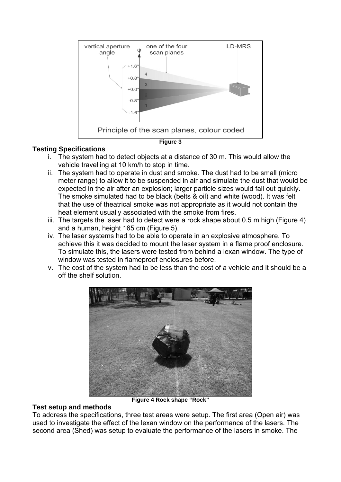

#### <span id="page-2-0"></span>**Testing Specifications**

- i. The system had to detect objects at a distance of 30 m. This would allow the vehicle travelling at 10 km/h to stop in time.
- ii. The system had to operate in dust and smoke. The dust had to be small (micro meter range) to allow it to be suspended in air and simulate the dust that would be expected in the air after an explosion; larger particle sizes would fall out quickly. The smoke simulated had to be black (belts & oil) and white (wood). It was felt that the use of theatrical smoke was not appropriate as it would not contain the heat element usually associated with the smoke from fires.
- iii. The targets the laser had to detect were a rock shape about 0.5 m high ([Figure 4\)](#page-2-1) and a human, height 165 cm [\(Figure 5](#page-3-0)).
- iv. The laser systems had to be able to operate in an explosive atmosphere. To achieve this it was decided to mount the laser system in a flame proof enclosure. To simulate this, the lasers were tested from behind a lexan window. The type of window was tested in flameproof enclosures before.
- v. The cost of the system had to be less than the cost of a vehicle and it should be a off the shelf solution.



**Figure 4 Rock shape "Rock"** 

#### <span id="page-2-1"></span>**Test setup and methods**

To address the specifications, three test areas were setup. The first area (Open air) was used to investigate the effect of the lexan window on the performance of the lasers. The second area (Shed) was setup to evaluate the performance of the lasers in smoke. The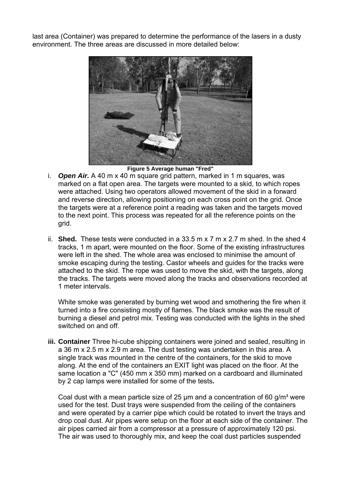last area (Container) was prepared to determine the performance of the lasers in a dusty environment. The three areas are discussed in more detailed below:



**Figure 5 Average human "Fred"** 

- <span id="page-3-0"></span>i. *Open Air.* A 40 m x 40 m square grid pattern, marked in 1 m squares, was marked on a flat open area. The targets were mounted to a skid, to which ropes were attached. Using two operators allowed movement of the skid in a forward and reverse direction, allowing positioning on each cross point on the grid. Once the targets were at a reference point a reading was taken and the targets moved to the next point. This process was repeated for all the reference points on the grid.
- ii. **Shed.** These tests were conducted in a 33.5 m x 7 m x 2.7 m shed. In the shed 4 tracks, 1 m apart, were mounted on the floor. Some of the existing infrastructures were left in the shed. The whole area was enclosed to minimise the amount of smoke escaping during the testing. Castor wheels and guides for the tracks were attached to the skid. The rope was used to move the skid, with the targets, along the tracks. The targets were moved along the tracks and observations recorded at 1 meter intervals.

White smoke was generated by burning wet wood and smothering the fire when it turned into a fire consisting mostly of flames. The black smoke was the result of burning a diesel and petrol mix. Testing was conducted with the lights in the shed switched on and off.

**iii. Container** Three hi-cube shipping containers were joined and sealed, resulting in a 36 m x 2.5 m x 2.9 m area. The dust testing was undertaken in this area. A single track was mounted in the centre of the containers, for the skid to move along. At the end of the containers an EXIT light was placed on the floor. At the same location a "C" (450 mm x 350 mm) marked on a cardboard and illuminated by 2 cap lamps were installed for some of the tests**.** 

Coal dust with a mean particle size of 25  $\mu$ m and a concentration of 60 g/m<sup>3</sup> were used for the test. Dust trays were suspended from the ceiling of the containers and were operated by a carrier pipe which could be rotated to invert the trays and drop coal dust. Air pipes were setup on the floor at each side of the container. The air pipes carried air from a compressor at a pressure of approximately 120 psi. The air was used to thoroughly mix, and keep the coal dust particles suspended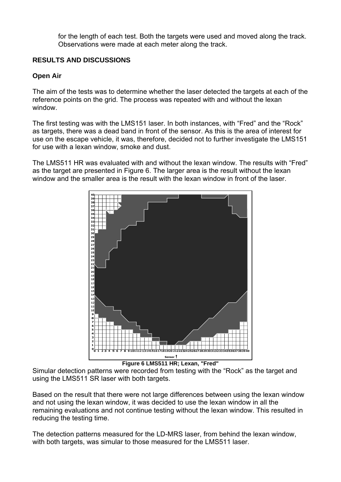for the length of each test. Both the targets were used and moved along the track. Observations were made at each meter along the track.

# **RESULTS AND DISCUSSIONS**

# **Open Air**

The aim of the tests was to determine whether the laser detected the targets at each of the reference points on the grid. The process was repeated with and without the lexan window.

The first testing was with the LMS151 laser. In both instances, with "Fred" and the "Rock" as targets, there was a dead band in front of the sensor. As this is the area of interest for use on the escape vehicle, it was, therefore, decided not to further investigate the LMS151 for use with a lexan window, smoke and dust.

The LMS511 HR was evaluated with and without the lexan window. The results with "Fred" as the target are presented in [Figure 6.](#page-4-0) The larger area is the result without the lexan window and the smaller area is the result with the lexan window in front of the laser.



**Figure 6 LMS511 HR; Lexan, "Fred"** 

<span id="page-4-0"></span>Simular detection patterns were recorded from testing with the "Rock" as the target and using the LMS511 SR laser with both targets.

Based on the result that there were not large differences between using the lexan window and not using the lexan window, it was decided to use the lexan window in all the remaining evaluations and not continue testing without the lexan window. This resulted in reducing the testing time.

The detection patterns measured for the LD-MRS laser, from behind the lexan window, with both targets, was simular to those measured for the LMS511 laser.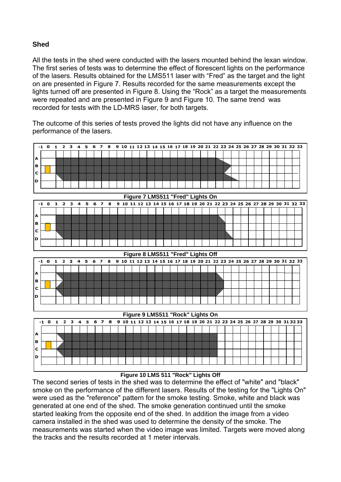## **Shed**

All the tests in the shed were conducted with the lasers mounted behind the lexan window. The first series of tests was to determine the effect of florescent lights on the performance of the lasers. Results obtained for the LMS511 laser with "Fred" as the target and the light on are presented in [Figure 7](#page-5-0). Results recorded for the same measurements except the lights turned off are presented in [Figure 8](#page-5-1). Using the "Rock" as a target the measurements were repeated and are presented in [Figure 9](#page-5-2) and [Figure 10.](#page-5-3) The same trend was recorded for tests with the LD-MRS laser, for both targets.

The outcome of this series of tests proved the lights did not have any influence on the performance of the lasers.

<span id="page-5-1"></span><span id="page-5-0"></span>

**Figure 10 LMS 511 "Rock" Lights Off** 

<span id="page-5-3"></span><span id="page-5-2"></span>The second series of tests in the shed was to determine the effect of "white" and "black" smoke on the performance of the different lasers. Results of the testing for the "Lights On" were used as the "reference" pattern for the smoke testing. Smoke, white and black was generated at one end of the shed. The smoke generation continued until the smoke started leaking from the opposite end of the shed. In addition the image from a video camera installed in the shed was used to determine the density of the smoke. The measurements was started when the video image was limited. Targets were moved along the tracks and the results recorded at 1 meter intervals.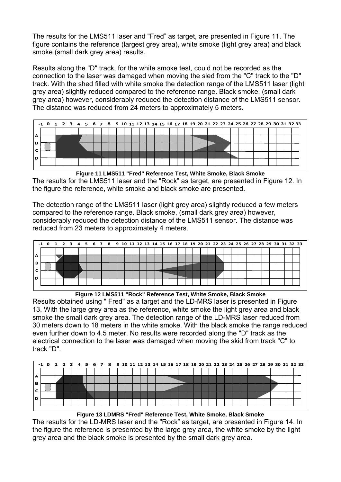The results for the LMS511 laser and "Fred" as target, are presented in [Figure 11.](#page-6-0) The figure contains the reference (largest grey area), white smoke (light grey area) and black smoke (small dark grey area) results.

Results along the "D" track, for the white smoke test, could not be recorded as the connection to the laser was damaged when moving the sled from the "C" track to the "D" track. With the shed filled with white smoke the detection range of the LMS511 laser (light grey area) slightly reduced compared to the reference range. Black smoke, (small dark grey area) however, considerably reduced the detection distance of the LMS511 sensor. The distance was reduced from 24 meters to approximately 5 meters.



<span id="page-6-0"></span>**Figure 11 LMS511 "Fred" Reference Test, White Smoke, Black Smoke**  The results for the LMS511 laser and the "Rock" as target, are presented in [Figure 12](#page-6-1). In the figure the reference, white smoke and black smoke are presented.

The detection range of the LMS511 laser (light grey area) slightly reduced a few meters compared to the reference range. Black smoke, (small dark grey area) however, considerably reduced the detection distance of the LMS511 sensor. The distance was reduced from 23 meters to approximately 4 meters.



**Figure 12 LMS511 "Rock" Reference Test, White Smoke, Black Smoke** 

<span id="page-6-1"></span>Results obtained using " Fred" as a target and the LD-MRS laser is presented in [Figure](#page-6-2)  [13](#page-6-2). With the large grey area as the reference, white smoke the light grey area and black smoke the small dark grey area. The detection range of the LD-MRS laser reduced from 30 meters down to 18 meters in the white smoke. With the black smoke the range reduced even further down to 4.5 meter. No results were recorded along the "D" track as the electrical connection to the laser was damaged when moving the skid from track "C" to track "D".



**Figure 13 LDMRS "Fred" Reference Test, White Smoke, Black Smoke** 

<span id="page-6-2"></span>The results for the LD-MRS laser and the "Rock" as target, are presented in [Figure 14.](#page-7-0) In the figure the reference is presented by the large grey area, the white smoke by the light grey area and the black smoke is presented by the small dark grey area.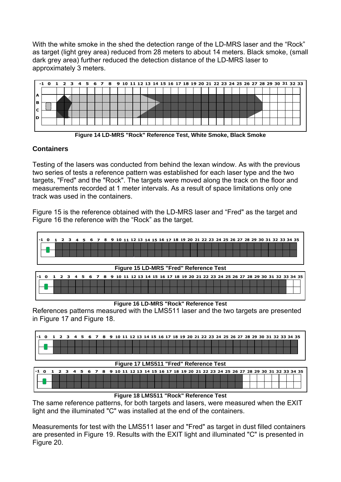With the white smoke in the shed the detection range of the LD-MRS laser and the "Rock" as target (light grey area) reduced from 28 meters to about 14 meters. Black smoke, (small dark grey area) further reduced the detection distance of the LD-MRS laser to approximately 3 meters.



**Figure 14 LD-MRS "Rock" Reference Test, White Smoke, Black Smoke** 

# <span id="page-7-0"></span>**Containers**

Testing of the lasers was conducted from behind the lexan window. As with the previous two series of tests a reference pattern was established for each laser type and the two targets, "Fred" and the "Rock". The targets were moved along the track on the floor and measurements recorded at 1 meter intervals. As a result of space limitations only one track was used in the containers.

[Figure 15](#page-7-1) is the reference obtained with the LD-MRS laser and "Fred" as the target and [Figure 16](#page-7-2) the reference with the "Rock" as the target.

<span id="page-7-1"></span>

#### **Figure 16 LD-MRS "Rock" Reference Test**

<span id="page-7-2"></span>References patterns measured with the LMS511 laser and the two targets are presented in [Figure 17](#page-7-3) and [Figure 18](#page-7-4).

<span id="page-7-3"></span>

#### **Figure 18 LMS511 "Rock" Reference Test**

<span id="page-7-4"></span>The same reference patterns, for both targets and lasers, were measured when the EXIT light and the illuminated "C" was installed at the end of the containers.

Measurements for test with the LMS511 laser and "Fred" as target in dust filled containers are presented in [Figure 19](#page-8-0). Results with the EXIT light and illuminated "C" is presented in [Figure 20](#page-8-1).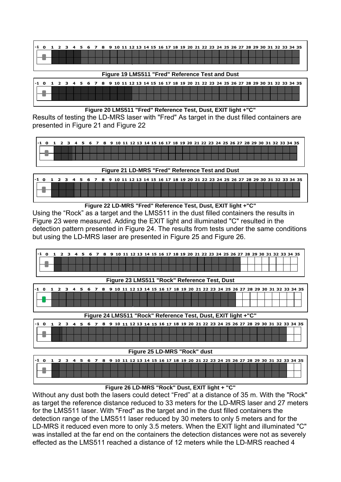

#### **Figure 19 LMS511 "Fred" Reference Test and Dust**

<span id="page-8-0"></span>

| -1 0 1 2 3 4 5 6 7 8 9 10 11 12 13 14 15 16 17 18 19 20 21 22 23 24 25 26 27 28 29 30 31 32 33 34 35 |  |  |  |  |  |  |  |  |  |  |  |  |  |  |  |  |  |  |
|------------------------------------------------------------------------------------------------------|--|--|--|--|--|--|--|--|--|--|--|--|--|--|--|--|--|--|
|                                                                                                      |  |  |  |  |  |  |  |  |  |  |  |  |  |  |  |  |  |  |
|                                                                                                      |  |  |  |  |  |  |  |  |  |  |  |  |  |  |  |  |  |  |
|                                                                                                      |  |  |  |  |  |  |  |  |  |  |  |  |  |  |  |  |  |  |

**Figure 20 LMS511 "Fred" Reference Test, Dust, EXIT light +"C"** 

<span id="page-8-1"></span>Results of testing the LD-MRS laser with "Fred" As target in the dust filled containers are presented in [Figure 21](#page-8-2) and [Figure 22](#page-8-3) 



**Figure 21 LD-MRS "Fred" Reference Test and Dust** 

<span id="page-8-2"></span>

|  |  |  |  |  |  | $-1$ 0 1 2 3 4 5 6 7 8 9 10 11 12 13 14 15 16 17 18 19 20 21 22 23 24 25 26 27 28 29 30 31 32 33 34 35 |  |  |  |  |  |  |  |  |  |  |  |
|--|--|--|--|--|--|--------------------------------------------------------------------------------------------------------|--|--|--|--|--|--|--|--|--|--|--|
|  |  |  |  |  |  |                                                                                                        |  |  |  |  |  |  |  |  |  |  |  |
|  |  |  |  |  |  |                                                                                                        |  |  |  |  |  |  |  |  |  |  |  |

**Figure 22 LD-MRS "Fred" Reference Test, Dust, EXIT light +"C"** 

<span id="page-8-3"></span>Using the "Rock" as a target and the LMS511 in the dust filled containers the results in [Figure 23](#page-8-4) were measured. Adding the EXIT light and illuminated "C" resulted in the detection pattern presented in [Figure 24](#page-8-5). The results from tests under the same conditions but using the LD-MRS laser are presented in [Figure 25](#page-8-6) and [Figure 26.](#page-8-7)

<span id="page-8-4"></span>

**Figure 25 LD-MRS "Rock" dust** 

<span id="page-8-6"></span><span id="page-8-5"></span>

| 1-1 O |  |  |  |  |  |  |  |  |  |  |  |  |  |  |  | 1 2 3 4 5 6 7 8 9 10 11 12 13 14 15 16 17 18 19 20 21 22 23 24 25 26 27 28 29 30 31 32 33 34 35 |  |
|-------|--|--|--|--|--|--|--|--|--|--|--|--|--|--|--|-------------------------------------------------------------------------------------------------|--|
|       |  |  |  |  |  |  |  |  |  |  |  |  |  |  |  |                                                                                                 |  |
|       |  |  |  |  |  |  |  |  |  |  |  |  |  |  |  |                                                                                                 |  |

#### **Figure 26 LD-MRS "Rock" Dust, EXIT light + "C"**

<span id="page-8-7"></span>Without any dust both the lasers could detect "Fred" at a distance of 35 m. With the "Rock" as target the reference distance reduced to 33 meters for the LD-MRS laser and 27 meters for the LMS511 laser. With "Fred" as the target and in the dust filled containers the detection range of the LMS511 laser reduced by 30 meters to only 5 meters and for the LD-MRS it reduced even more to only 3.5 meters. When the EXIT light and illuminated "C" was installed at the far end on the containers the detection distances were not as severely effected as the LMS511 reached a distance of 12 meters while the LD-MRS reached 4